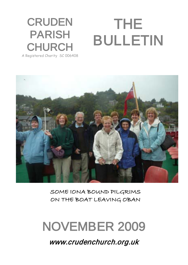### **CRUDEN** PARISH **CHURCH** THE BULLETIN

A Registered Charity SC 006408



SOME IONA BOUND PILGRIMS ON THE BOAT LEAVING OBAN

# NOVEMBER 2009

www.crudenchurch.org.uk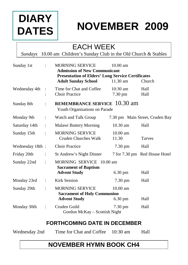# **DIARY DATES**

# **NOVEMBER 2009**

### EACH WEEK

*Sundays* 10.00 am Children's Sunday Club in the Old Church & Stables

| Sunday 1st      | $\ddot{\phantom{0}}$ | <b>MORNING SERVICE</b><br><b>Admission of New Communicant</b>                  | $10.00 \text{ am}$    |                                 |
|-----------------|----------------------|--------------------------------------------------------------------------------|-----------------------|---------------------------------|
|                 |                      | <b>Presentation of Elders' Long Service Certificates</b>                       |                       |                                 |
|                 |                      | <b>Adult Sunday School</b>                                                     | $11.30 \text{ am}$    | Church                          |
| Wednesday 4th   | $\ddot{\phantom{a}}$ | Time for Chat and Coffee<br><b>Choir Practice</b>                              | $10:30$ am<br>7.30 pm | Hall<br>Hall                    |
| Sunday 8th      | $\ddot{\cdot}$       | <b>REMEMBRANCE SERVICE</b> 10.30 am<br>Youth Organisations on Parade           |                       |                                 |
| Monday 9th      | $\ddot{\cdot}$       | Watch and Talk Group                                                           |                       | 7.30 pm Main Street, Cruden Bay |
| Saturday 14th   | $\ddot{\cdot}$       | Malawi Buttery Morning                                                         | 10.30 am              | Hall                            |
| Sunday 15th     | $\ddot{\cdot}$       | <b>MORNING SERVICE</b><br>Cruden Churches Walk                                 | $10.00$ am<br>11.30   | <b>Tarves</b>                   |
| Wednesday 18th: |                      | <b>Choir Practice</b>                                                          | $7.30 \text{ pm}$     | Hall                            |
| Friday 20th     | $\ddot{\cdot}$       | St Andrew's Night Dinner                                                       |                       | 7 for 7.30 pm Red House Hotel   |
| Sunday 22nd     | $\ddot{\cdot}$       | MORNING SERVICE 10.00 am<br><b>Sacrament of Baptism</b><br><b>Advent Study</b> | $6.30 \text{ pm}$     | Hall                            |
| Monday 23rd     | $\ddot{\cdot}$       | <b>Kirk Session</b>                                                            | $7.30 \text{ pm}$     | Hall                            |
| Sunday 29th     | $\ddot{\cdot}$       | <b>MORNING SERVICE</b><br><b>Sacrament of Holy Communion</b>                   | $10.00$ am            |                                 |
|                 |                      | <b>Advent Study</b>                                                            | $6.30 \text{ pm}$     | Hall                            |
| Monday 30th     | $\ddot{\cdot}$       | Cruden Guild<br>Gordon McKay - Scottish Night                                  | $7.30 \text{ pm}$     | Hall                            |

#### **FORTHCOMING DATE IN DECEMBER**

| Wednesday 2nd | Time for Chat and Coffee 10:30 am | Hall |
|---------------|-----------------------------------|------|
|               |                                   |      |

#### **NOVEMBER HYMN BOOK CH4**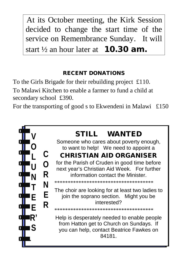At its October meeting, the Kirk Session decided to change the start time of the service on Remembrance Sunday. It will start  $\frac{1}{2}$  an hour later at **10.30 am.** 

#### RECENT DONATIONS

To the Girls Brigade for their rebuilding project £110. To Malawi Kitchen to enable a farmer to fund a child at secondary school £390.

For the transporting of good s to Ekwendeni in Malawi £150

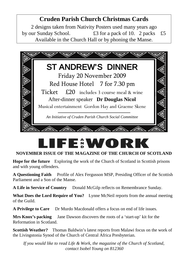#### **Cruden Parish Church Christmas Cards**

2 designs taken from Nativity Posters used many years ago by our Sunday School.  $\pounds 3$  for a pack of 10. 2 packs  $\pounds 5$ Available in the Church Hall or by phoning the Manse.



# FERWOL

#### **NOVEMBER ISSUE OF THE MAGAZINE OF THE CHURCH OF SCOTLAND**

**Hope for the future** Exploring the work of the Church of Scotland in Scottish prisons and with young offenders.

**A Questioning Faith** Profile of Alex Fergusson MSP, Presiding Officer of the Scottish Parliament and a Son of the Manse.

A Life in Service of Country Donald McGilp reflects on Remembrance Sunday.

**What Does the Lord Require of You?** Lynne McNeil reports from the annual meeting of the Guild.

**A Privilege to Care** Dr Murdo Macdonald offers a focus on end of life issues.

**Mrs Knox's packing** Jane Dawson discovers the roots of a 'start-up' kit for the Reformation in Scotland.

**Scottish Weather?** Thomas Baldwin's latest reports from Malawi focus on the work of the Livingstonia Synod of the Church of Central Africa Presbyterian.

*If you would like to read Life & Work, the magazine of the Church of Scotland, contact Isobel Young on 812360*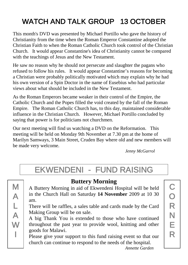# WATCH AND TALK GROUP 13 OCTOBER

This month's DVD was presented by Michael Portillo who gave the history of Christianity from the time when the Roman Emperor Constantine adopted the Christian Faith to when the Roman Catholic Church took control of the Christian Church. It would appear Constantine's idea of Christianity cannot be compared with the teachings of Jesus and the New Testament.

He saw no reason why he should not persecute and slaughter the pagans who refused to follow his rules. It would appear Constantine's reasons for becoming a Christian were probably politically motivated which may explain why he had his own version of a Spin Doctor in the name of Eusebius who had particular views about what should be included in the New Testament.

As the Roman Emperors became weaker in their control of the Empire, the Catholic Church and the Popes filled the void created by the fall of the Roman Empire. The Roman Catholic Church has, to this day, maintained considerable influence in the Christian Church. However, Michael Portillo concluded by saying that power is for politicians not churchmen.

Our next meeting will find us watching a DVD on the Reformation. This meeting will be held on Monday 9th November at 7.30 pm at the home of Marilyn Samways, 3 Main Street, Cruden Bay where old and new members will be made very welcome.

*Jenny McGarrol*

## EKWENDENI - FUND RAISING

| M |
|---|
| A |
| L |
| A |
| W |
| l |
|   |

#### **Buttery Morning**

A Buttery Morning in aid of Ekwendeni Hospital will be held in the Church Hall on Saturday **14 November** 2009 at 10 30 am.

There will be raffles, a sales table and cards made by the Card Making Group will be on sale.

A big Thank You is extended to those who have continued throughout the past year to provide wool, knitting and other goods for Malawi.

Please give your support to this fund raising event so that our church can continue to respond to the needs of the hospital.

C O R N E R

*Annette Garden*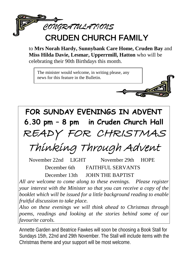

### CRUDEN CHURCH FAMILY

to **Mrs Norah Hardy, Sunnybank Care Home, Cruden Bay** and **Miss Hilda Davie, Lesmar, Upperrmill, Hatton** who will be celebrating their 90th Birthdays this month.

The minister would welcome, in writing please, any news for this feature in the Bulletin.



# **FOR SUNDAY EVENINGS IN ADVENT 6.30 pm – 8 pm in Cruden Church Hall** READY FOR CHRISTMAS

Thinking Through Advent

November 22nd LIGHT November 29th HOPE December 6th FAITHFUL SERVANTS December 13th JOHN THE BAPTIST

*All are welcome to come along to these evenings. Please register your interest with the Minister so that you can receive a copy of the booklet which will be issued for a little background reading to enable fruitful discussion to take place.*

*Also on these evenings we will think ahead to Christmas through poems, readings and looking at the stories behind some of our favourite carols.*

Annette Garden and Beatrice Fawkes will soon be choosing a Book Stall for Sundays 15th, 22nd and 29th November. The Stall will include items with the Christmas theme and your support will be most welcome.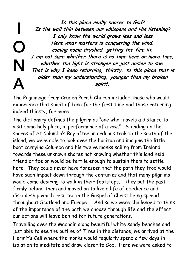I O N A Is this place really nearer to God? Is the wall thin between our whispers and His listening? I only know the world grows less and less Here what matters is conquering the wind, coming home dryshod, getting the fire lit. I am not sure whether there is no time here or more time, whether the light is stronger or just easier to see. That is why I keep returning, thirsty, to this place that is older than my understanding, younger than my broken spirit.

The Pilgrimage from Cruden Parish Church included those who would experience that spirit of Iona for the first time and those returning indeed thirsty, for more.

The dictionary defines the pilgrim as "one who travels a distance to visit some holy place, in performance of a vow." Standing on the shores of St Columba's Bay after an arduous trek to the south of the island, we were able to look over the horizon and imagine the little boat carrying Columba and his twelve monks sailing from Ireland towards these unknown shores not knowing whether this land held friend or foe or would be fertile enough to sustain them to settle here. They could never have foreseen that the path they trod would have such impact down through the centuries and that many pilgrims would come desiring to walk in their footsteps. They put the past firmly behind them and moved on to live a life of obedience and discipleship which resulted in the Gospel of Christ being spread throughout Scotland and Europe. And so we were challenged to think of the importance of the path we choose through life and the effect our actions will leave behind for future generations.

Travelling over the Machair along beautiful white sandy beaches and just able to see the outline of Tiree in the distance, we arrived at the Hermit's Cell where the monks would regularly spend a few days in isolation to meditate and draw closer to God. Here we were asked to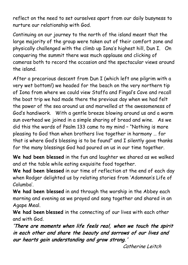reflect on the need to set ourselves apart from our daily busyness to nurture our relationship with God.

Continuing on our journey to the north of the island meant that the large majority of the group were taken out of their comfort zone and physically challenged with the climb up Iona's highest hill, Dun I. On conquering the summit there was much applause and clicking of cameras both to record the occasion and the spectacular views around the island.

After a precarious descent from Dun I (which left one pilgrim with a very wet bottom!) we headed for the beach on the very northern tip of Iona from where we could view Staffa and Fingal's Cave and recall the boat trip we had made there the previous day when we had felt the power of the sea around us and marvelled at the awesomeness of God's handiwork. With a gentle breeze blowing around us and a warm sun overhead we joined in a simple sharing of bread and wine. As we did this the words of Psalm 133 came to my mind – "Nothing is more pleasing to God than when brothers live together in harmony … for that is where God's blessing is to be found" and I silently gave thanks for the many blessings God had poured on us in our time together.

**We had been blessed** in the fun and laughter we shared as we walked and at the table while eating exquisite food together.

**We had been blessed** in our time of reflection at the end of each day when Rodger delighted us by relating stories from 'Adomnan's Life of Columba'.

**We had been blessed** in and through the worship in the Abbey each morning and evening as we prayed and sang together and shared in an Agape Meal.

**We had been blessed** in the connecting of our lives with each other and with God.

'There are moments when life feels real, when we touch the spirit in each other and share the beauty and sorrows of our lives and our hearts gain understanding and grow strong. '

Catherine Leitch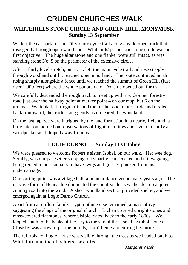### CRUDEN CHURCHES WALK

#### **WHITEHILLS STONE CIRCLE AND GREEN HILL, MONYMUSK Sunday 13 September**

We left the car park for the Tillyfourie cycle trail along a wide-open track that rose gently through open woodland. Whitehills' prehistoric stone circle was our first objective. The huge altar stone and one flanker were still intact, as was standing stone No. 5 on the perimeter of the extensive circle.

After a fairly level stretch, our track left the main cycle trail and rose steeply through woodland until it reached open moorland. The route continued north rising sharply alongside a fence until we reached the summit of Green Hill (just over 1,000 feet) where the whole panorama of Donside opened out for us.

We carefully descended the rough track to meet up with a wide-open forestry road just over the halfway point at marker point 4 on our map, but 6 on the ground. We took that irregularity and the further one in our stride and circled back southward, the track rising gently as it cleared the woodland.

On the last lap, we were intrigued by the land formation in a nearby field and, a little later on, pooled our observations of flight, markings and size to identify a woodpecker as it dipped away from us.

#### **LOGIE DURNO Sunday 11 October**

We were pleased to welcome Robert's sister, Isobel, on our walk. Her wee dog, Scruffy, was our pacesetter stepping out smartly, ears cocked and tail wagging, being reined in occasionally to have twigs and grasses plucked from his undercarriage.

Our starting point was a village hall, a popular dance venue many years ago. The massive form of Bennachie dominated the countryside as we headed up a quiet country road into the wind. A short woodland section provided shelter, and we emerged again at Logie Durno Church.

Apart from a roofless family crypt, nothing else remained, a mass of ivy suggesting the shape of the original church. Lichen covered upright stones and moss-covered flat stones, where visible, dated back to the early 1800s. We looped south to the banks of the Ury to the site of three small symbol stones. Close by was a row of pet memorials, "Gip" being a recurring favourite.

The refurbished Logie House was visible through the trees as we headed back to Whiteford and then Lochters for coffee.

*Margaret Wisely*